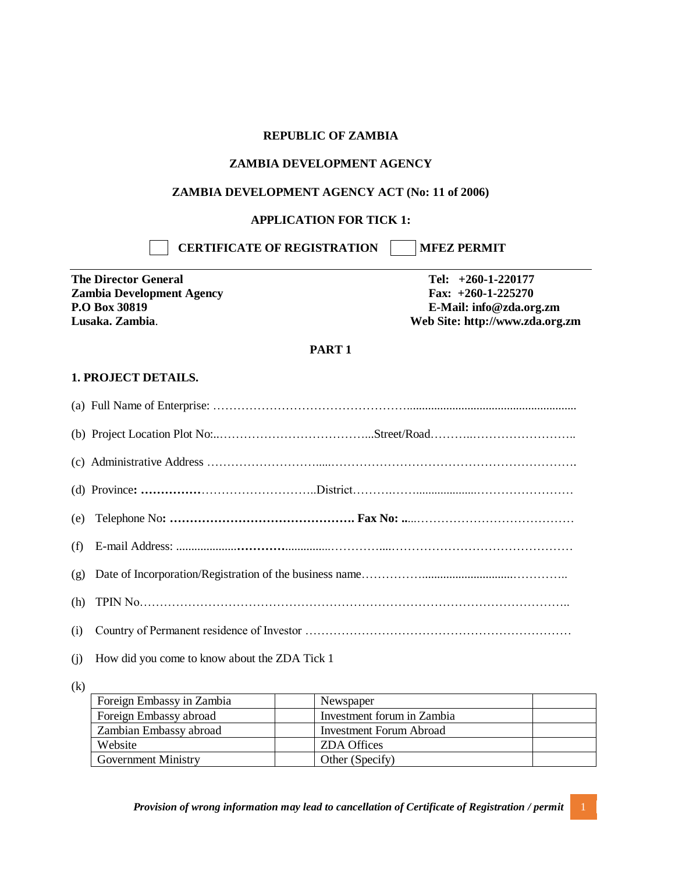#### **REPUBLIC OF ZAMBIA**

#### **ZAMBIA DEVELOPMENT AGENCY**

#### **ZAMBIA DEVELOPMENT AGENCY ACT (No: 11 of 2006)**

### **APPLICATION FOR TICK 1:**

**CERTIFICATE OF REGISTRATION | MFEZ PERMIT** 

**The Director General Tel: +260-1-220177 Zambia Development Agency Fax: +260-1-225270**

**P.O Box 30819 E-Mail: info@zda.org.zm Lusaka. Zambia**. **Web Site: http://www.zda.org.zm**

#### **PART 1**

#### **1. PROJECT DETAILS.**

| (e) |                                               |
|-----|-----------------------------------------------|
| (f) |                                               |
| (g) |                                               |
| (h) |                                               |
| (i) |                                               |
| (i) | How did you come to know about the ZDA Tick 1 |

(k)

| Foreign Embassy in Zambia  | Newspaper                  |
|----------------------------|----------------------------|
| Foreign Embassy abroad     | Investment forum in Zambia |
| Zambian Embassy abroad     | Investment Forum Abroad    |
| Website                    | <b>ZDA</b> Offices         |
| <b>Government Ministry</b> | Other (Specify)            |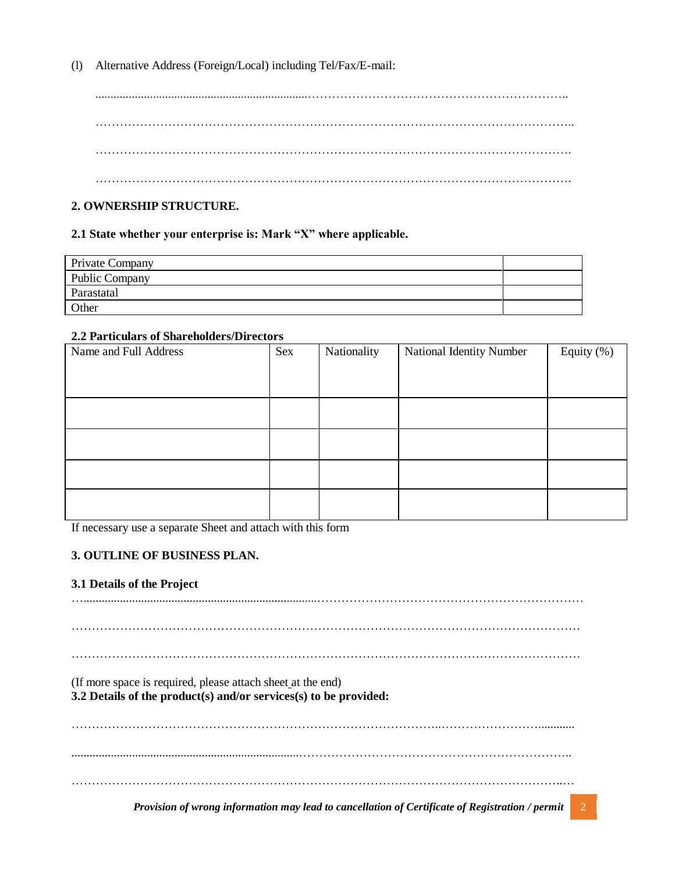(l) Alternative Address (Foreign/Local) including Tel/Fax/E-mail:

......................................................................……………………………………………………….. ……………………………………………………………………………………………………….. ………………………………………………………………………………………………………. ……………………………………………………………………………………………………….

# **2. OWNERSHIP STRUCTURE.**

### **2.1 State whether your enterprise is: Mark "X" where applicable.**

| Private Company       |  |
|-----------------------|--|
| <b>Public Company</b> |  |
| Parastatal            |  |
| Other                 |  |

#### **2.2 Particulars of Shareholders/Directors**

| Name and Full Address | Sex | Nationality | National Identity Number | Equity (%) |
|-----------------------|-----|-------------|--------------------------|------------|
|                       |     |             |                          |            |
|                       |     |             |                          |            |
|                       |     |             |                          |            |
|                       |     |             |                          |            |
|                       |     |             |                          |            |
|                       |     |             |                          |            |
|                       |     |             |                          |            |
|                       |     |             |                          |            |
|                       |     |             |                          |            |

If necessary use a separate Sheet and attach with this form

## **3. OUTLINE OF BUSINESS PLAN.**

#### **3.1 Details of the Project**

….............................................................................…………………………………………………………

………………………………………………………………………………………………………………

………………………………………………………………………………………………………………

(If more space is required, please attach sheet at the end)

# **3.2 Details of the product(s) and/or services(s) to be provided:**

………………………………………………………………………………..……………………............ ...........................................................................………………………………………………………….. …………………………………………………………………………………………………………..…

*Provision of wrong information may lead to cancellation of Certificate of Registration / permit* 2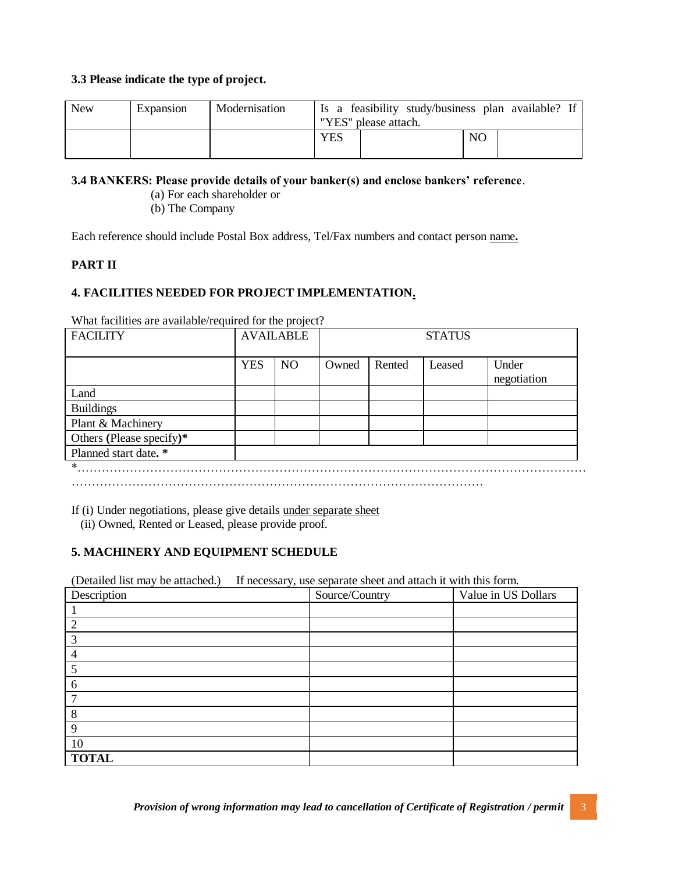### **3.3 Please indicate the type of project.**

| <b>New</b> | Expansion | Modernisation |     | Is a feasibility study/business plan available? If<br>"YES" please attach. |    |  |
|------------|-----------|---------------|-----|----------------------------------------------------------------------------|----|--|
|            |           |               | YES |                                                                            | NО |  |

### **3.4 BANKERS: Please provide details of your banker(s) and enclose bankers' reference**.

- (a) For each shareholder or
- (b) The Company

Each reference should include Postal Box address, Tel/Fax numbers and contact person name**.**

## **PART II**

## **4. FACILITIES NEEDED FOR PROJECT IMPLEMENTATION.**

What facilities are available/required for the project?

| <b>FACILITY</b>          | <b>AVAILABLE</b> |           | <b>STATUS</b> |        |        |                      |
|--------------------------|------------------|-----------|---------------|--------|--------|----------------------|
|                          | <b>YES</b>       | <b>NO</b> | Owned         | Rented | Leased | Under<br>negotiation |
| Land                     |                  |           |               |        |        |                      |
| <b>Buildings</b>         |                  |           |               |        |        |                      |
| Plant & Machinery        |                  |           |               |        |        |                      |
| Others (Please specify)* |                  |           |               |        |        |                      |
| Planned start date. *    |                  |           |               |        |        |                      |
| *                        |                  |           |               |        |        |                      |

…………………………………………………………………………………………

If (i) Under negotiations, please give details under separate sheet

(ii) Owned, Rented or Leased, please provide proof.

## **5. MACHINERY AND EQUIPMENT SCHEDULE**

(Detailed list may be attached.) If necessary, use separate sheet and attach it with this form.

| Description  | Source/Country | Value in US Dollars |
|--------------|----------------|---------------------|
|              |                |                     |
|              |                |                     |
| 3            |                |                     |
| 4            |                |                     |
| 5            |                |                     |
| 6            |                |                     |
| ⇁            |                |                     |
| 8            |                |                     |
| $\mathbf{Q}$ |                |                     |
| 10           |                |                     |
| <b>TOTAL</b> |                |                     |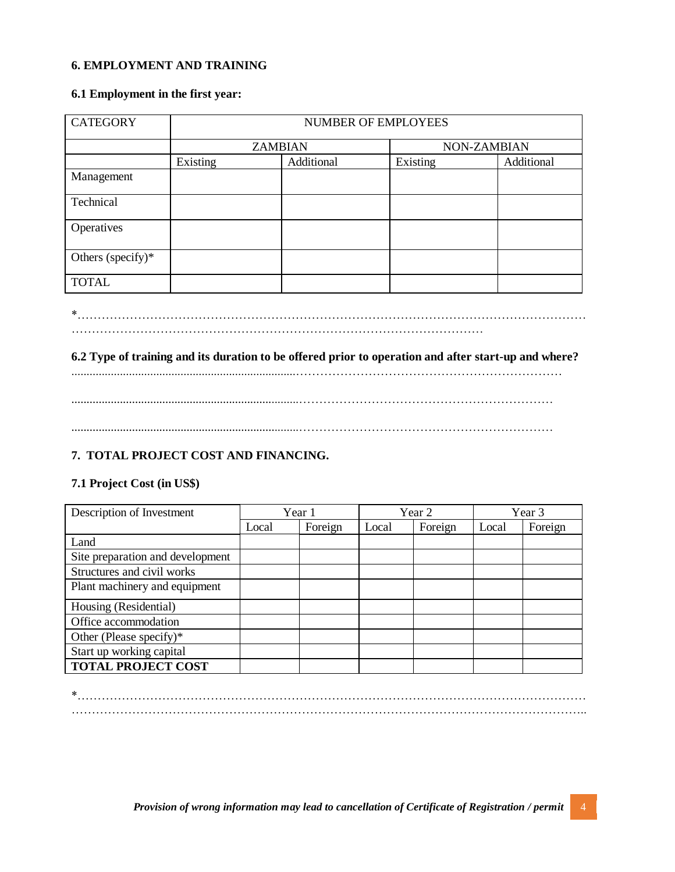#### **6. EMPLOYMENT AND TRAINING**

### **6.1 Employment in the first year:**

| <b>CATEGORY</b>      | <b>NUMBER OF EMPLOYEES</b> |            |             |            |  |  |  |
|----------------------|----------------------------|------------|-------------|------------|--|--|--|
|                      | <b>ZAMBIAN</b>             |            | NON-ZAMBIAN |            |  |  |  |
|                      | Existing                   | Additional | Existing    | Additional |  |  |  |
| Management           |                            |            |             |            |  |  |  |
| Technical            |                            |            |             |            |  |  |  |
| Operatives           |                            |            |             |            |  |  |  |
| Others (specify) $*$ |                            |            |             |            |  |  |  |
| <b>TOTAL</b>         |                            |            |             |            |  |  |  |

\*……………………………………………………………………………………………………………… …………………………………………………………………………………………

## **6.2 Type of training and its duration to be offered prior to operation and after start-up and where?**

..........................................................................………………………………………………………… ...........................................................................………………………………………………………

...........................................................................………………………………………………………

# **7. TOTAL PROJECT COST AND FINANCING.**

#### **7.1 Project Cost (in US\$)**

| Description of Investment        | Year 1 |         | Year 2 |         | Year 3 |         |
|----------------------------------|--------|---------|--------|---------|--------|---------|
|                                  | Local  | Foreign | Local  | Foreign | Local  | Foreign |
| Land                             |        |         |        |         |        |         |
| Site preparation and development |        |         |        |         |        |         |
| Structures and civil works       |        |         |        |         |        |         |
| Plant machinery and equipment    |        |         |        |         |        |         |
| Housing (Residential)            |        |         |        |         |        |         |
| Office accommodation             |        |         |        |         |        |         |
| Other (Please specify) $*$       |        |         |        |         |        |         |
| Start up working capital         |        |         |        |         |        |         |
| <b>TOTAL PROJECT COST</b>        |        |         |        |         |        |         |

\*……………………………………………………………………………………………………………… ………………………………………………………………………………………………………………..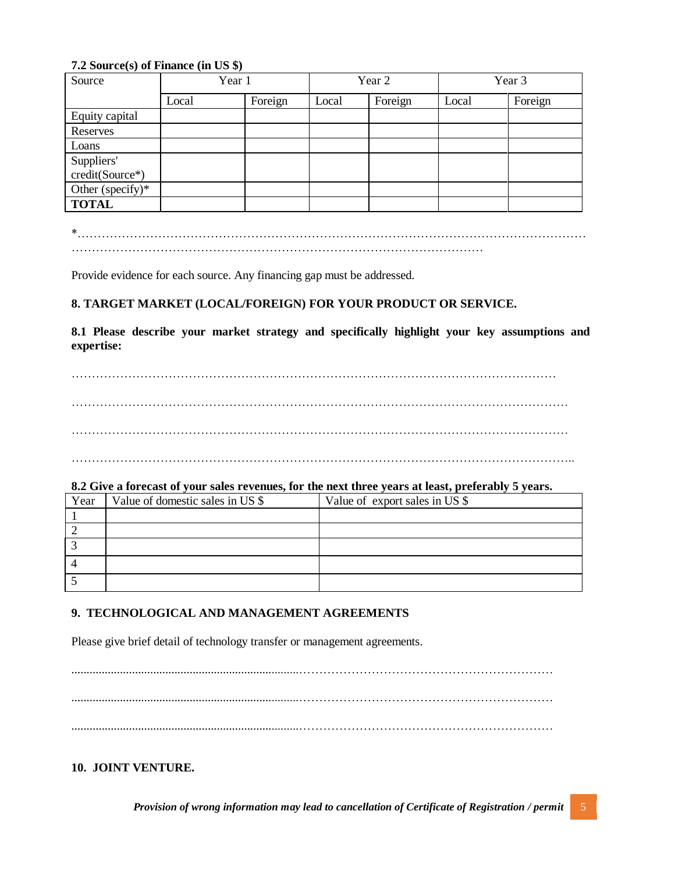### **7.2 Source(s) of Finance (in US \$)**

| Source              | Year 1 |         |       | Year 2  |       | Year 3  |  |
|---------------------|--------|---------|-------|---------|-------|---------|--|
|                     | Local  | Foreign | Local | Foreign | Local | Foreign |  |
| Equity capital      |        |         |       |         |       |         |  |
| Reserves            |        |         |       |         |       |         |  |
| Loans               |        |         |       |         |       |         |  |
| Suppliers'          |        |         |       |         |       |         |  |
| credit(Source*)     |        |         |       |         |       |         |  |
| Other (specify) $*$ |        |         |       |         |       |         |  |
| <b>TOTAL</b>        |        |         |       |         |       |         |  |

\*……………………………………………………………………………………………………………… …………………………………………………………………………………………

Provide evidence for each source. Any financing gap must be addressed.

# **8. TARGET MARKET (LOCAL/FOREIGN) FOR YOUR PRODUCT OR SERVICE.**

**8.1 Please describe your market strategy and specifically highlight your key assumptions and expertise:**

………………………………………………………………………………………………………… …………………………………………………………………………………………………………… …………………………………………………………………………………………………………… ……………………………………………………………………………………………………………..

#### **8.2 Give a forecast of your sales revenues, for the next three years at least, preferably 5 years.**

| Year | Value of domestic sales in US \$ | Value of export sales in US \$ |
|------|----------------------------------|--------------------------------|
|      |                                  |                                |
|      |                                  |                                |
|      |                                  |                                |
|      |                                  |                                |
|      |                                  |                                |

## **9. TECHNOLOGICAL AND MANAGEMENT AGREEMENTS**

Please give brief detail of technology transfer or management agreements.

...........................................................................……………………………………………………… ...........................................................................……………………………………………………… ...........................................................................………………………………………………………

## **10. JOINT VENTURE.**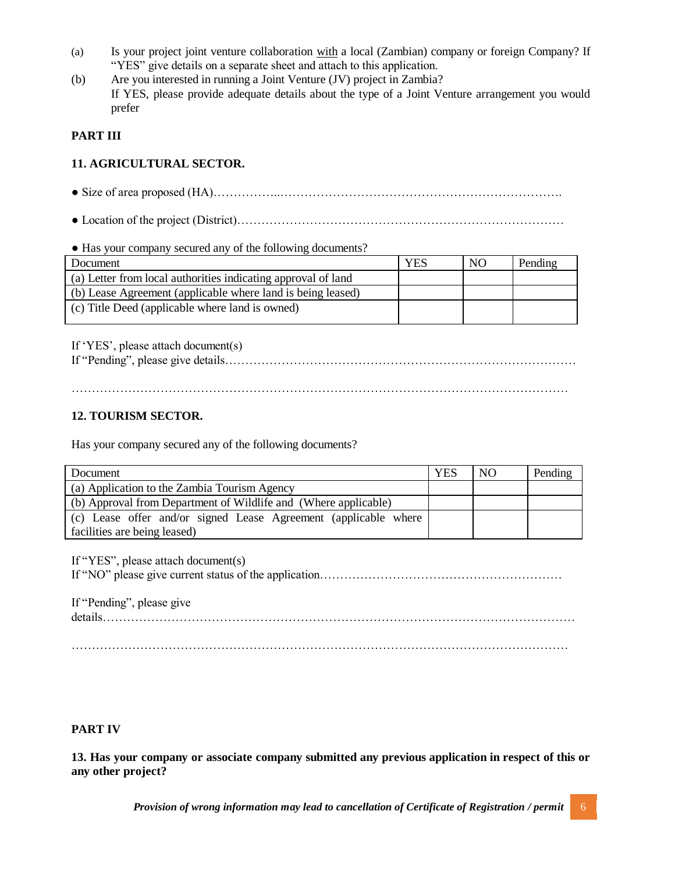- (a) Is your project joint venture collaboration with a local (Zambian) company or foreign Company? If "YES" give details on a separate sheet and attach to this application.
- (b) Are you interested in running a Joint Venture (JV) project in Zambia? If YES, please provide adequate details about the type of a Joint Venture arrangement you would prefer

### **PART III**

# **11. AGRICULTURAL SECTOR.**

- Size of area proposed (HA)……………..…………………………………………………………….
- Location of the project (District)………………………………………………………………………

● Has your company secured any of the following documents?

| Document                                                      | <b>YES</b> | NO <sub>1</sub> | Pending |
|---------------------------------------------------------------|------------|-----------------|---------|
| (a) Letter from local authorities indicating approval of land |            |                 |         |
| (b) Lease Agreement (applicable where land is being leased)   |            |                 |         |
| (c) Title Deed (applicable where land is owned)               |            |                 |         |

If 'YES', please attach document(s)

If "Pending", please give details……………………………………………………………………………

……………………………………………………………………………………………………………

## **12. TOURISM SECTOR.**

Has your company secured any of the following documents?

| Document                                                        | <b>YES</b> | NO. | Pending |
|-----------------------------------------------------------------|------------|-----|---------|
| (a) Application to the Zambia Tourism Agency                    |            |     |         |
| (b) Approval from Department of Wildlife and (Where applicable) |            |     |         |
| (c) Lease offer and/or signed Lease Agreement (applicable where |            |     |         |
| facilities are being leased)                                    |            |     |         |

If "YES", please attach document(s)

If "NO" please give current status of the application……………………………………………………

If "Pending", please give details………………………………………………………………………………………………………

## **PART IV**

**13. Has your company or associate company submitted any previous application in respect of this or any other project?**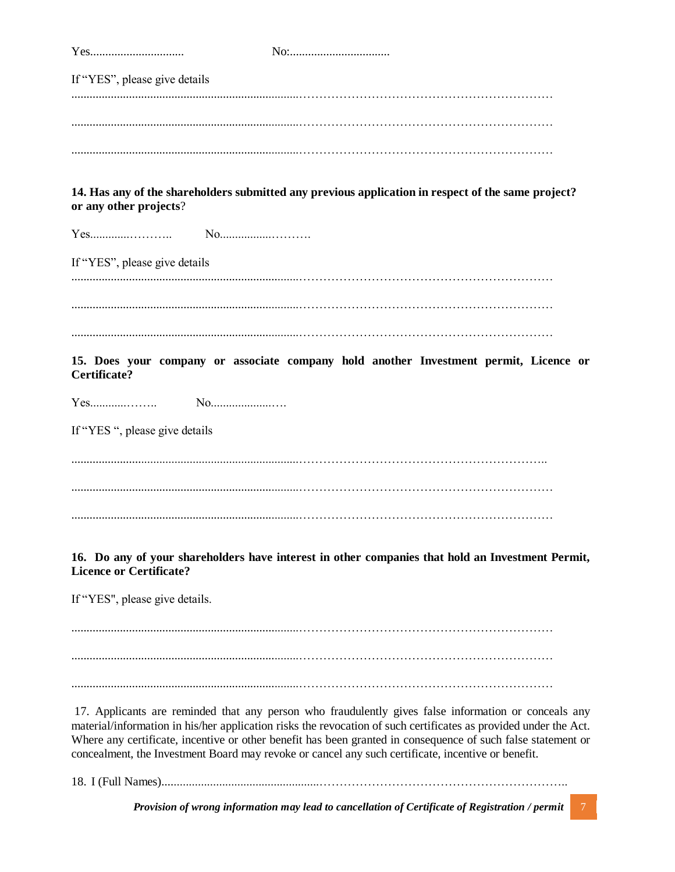Yes............................... No:................................. If "YES", please give details ...........................................................................……………………………………………………… ...........................................................................……………………………………………………… ...........................................................................……………………………………………………… **14. Has any of the shareholders submitted any previous application in respect of the same project? or any other projects**? Yes.............……….. No.................………. If "YES", please give details ...........................................................................……………………………………………………… ...........................................................................……………………………………………………… ...........................................................................……………………………………………………… **15. Does your company or associate company hold another Investment permit, Licence or Certificate?** Yes............…….. No....................…. If "YES ", please give details ...........................................................................…………………………………………………….. ...........................................................................……………………………………………………… ...........................................................................……………………………………………………… **16. Do any of your shareholders have interest in other companies that hold an Investment Permit, Licence or Certificate?** If "YES", please give details. ...........................................................................……………………………………………………… ...........................................................................……………………………………………………… ...........................................................................……………………………………………………… 17. Applicants are reminded that any person who fraudulently gives false information or conceals any material/information in his/her application risks the revocation of such certificates as provided under the Act. Where any certificate, incentive or other benefit has been granted in consequence of such false statement or concealment, the Investment Board may revoke or cancel any such certificate, incentive or benefit. 18. I (Full Names)....................................................……………………………………………………..

*Provision of wrong information may lead to cancellation of Certificate of Registration / permit* 7